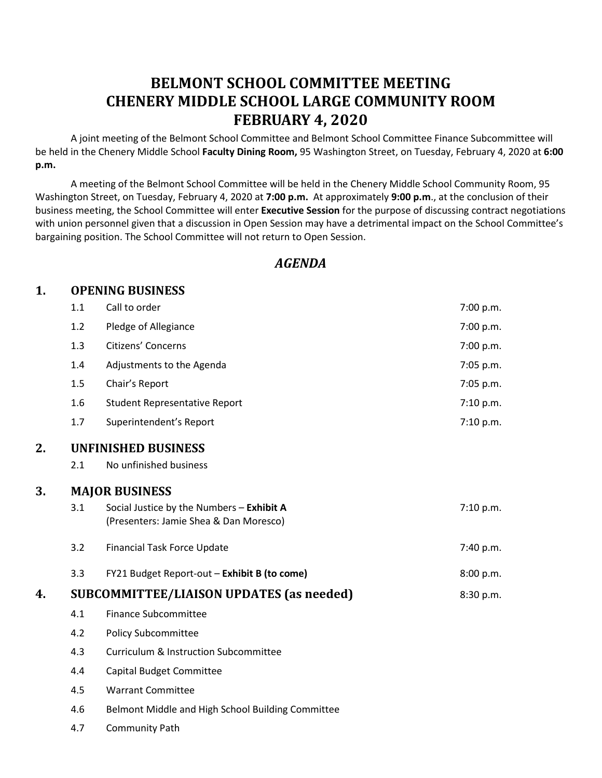# **BELMONT SCHOOL COMMITTEE MEETING CHENERY MIDDLE SCHOOL LARGE COMMUNITY ROOM FEBRUARY 4, 2020**

A joint meeting of the Belmont School Committee and Belmont School Committee Finance Subcommittee will be held in the Chenery Middle School **Faculty Dining Room,** 95 Washington Street, on Tuesday, February 4, 2020 at **6:00 p.m.**

A meeting of the Belmont School Committee will be held in the Chenery Middle School Community Room, 95 Washington Street, on Tuesday, February 4, 2020 at **7:00 p.m.** At approximately **9:00 p.m**., at the conclusion of their business meeting, the School Committee will enter **Executive Session** for the purpose of discussing contract negotiations with union personnel given that a discussion in Open Session may have a detrimental impact on the School Committee's bargaining position. The School Committee will not return to Open Session.

#### *AGENDA*

#### **1. OPENING BUSINESS**

|    | 1.1                                             | Call to order                                                                       | 7:00 p.m. |
|----|-------------------------------------------------|-------------------------------------------------------------------------------------|-----------|
|    | 1.2                                             | Pledge of Allegiance                                                                | 7:00 p.m. |
|    | 1.3                                             | Citizens' Concerns                                                                  | 7:00 p.m. |
|    | 1.4                                             | Adjustments to the Agenda                                                           | 7:05 p.m. |
|    | 1.5                                             | Chair's Report                                                                      | 7:05 p.m. |
|    | 1.6                                             | <b>Student Representative Report</b>                                                | 7:10 p.m. |
|    | 1.7                                             | Superintendent's Report                                                             | 7:10 p.m. |
| 2. | <b>UNFINISHED BUSINESS</b>                      |                                                                                     |           |
|    | 2.1                                             | No unfinished business                                                              |           |
| 3. | <b>MAJOR BUSINESS</b>                           |                                                                                     |           |
|    | 3.1                                             | Social Justice by the Numbers - Exhibit A<br>(Presenters: Jamie Shea & Dan Moresco) | 7:10 p.m. |
|    | 3.2                                             | <b>Financial Task Force Update</b>                                                  | 7:40 p.m. |
|    | 3.3                                             | FY21 Budget Report-out - Exhibit B (to come)                                        | 8:00 p.m. |
| 4. | <b>SUBCOMMITTEE/LIAISON UPDATES (as needed)</b> |                                                                                     | 8:30 p.m. |
|    | 4.1                                             | <b>Finance Subcommittee</b>                                                         |           |
|    | 4.2                                             | <b>Policy Subcommittee</b>                                                          |           |
|    | 4.3                                             | <b>Curriculum &amp; Instruction Subcommittee</b>                                    |           |
|    | 4.4                                             | <b>Capital Budget Committee</b>                                                     |           |
|    | 4.5                                             | <b>Warrant Committee</b>                                                            |           |
|    | 4.6                                             | Belmont Middle and High School Building Committee                                   |           |
|    |                                                 |                                                                                     |           |

4.7 Community Path